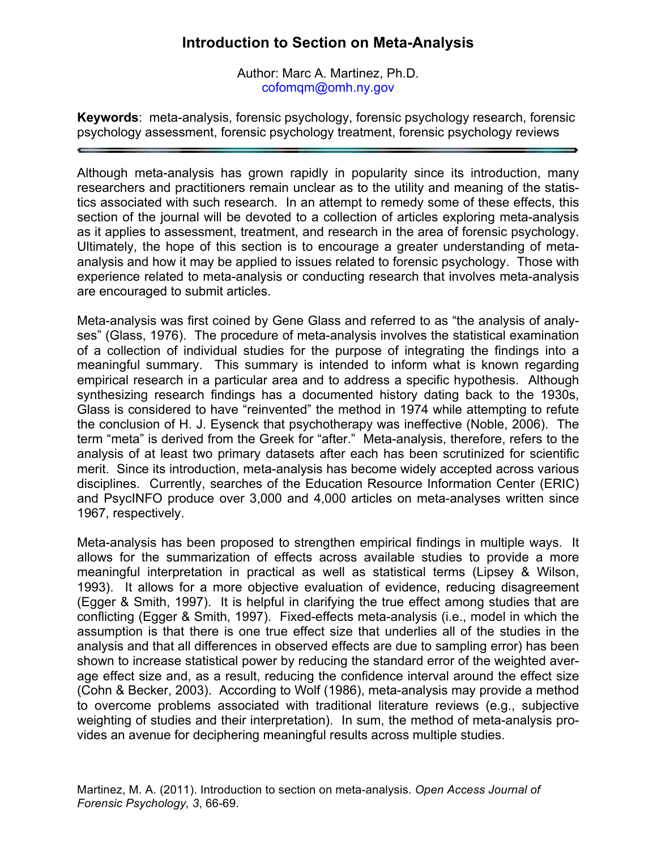## **Introduction to Section on Meta-Analysis**

Author: Marc A. Martinez, Ph.D. cofomqm@omh.ny.gov

**Keywords**: meta-analysis, forensic psychology, forensic psychology research, forensic psychology assessment, forensic psychology treatment, forensic psychology reviews

Although meta-analysis has grown rapidly in popularity since its introduction, many researchers and practitioners remain unclear as to the utility and meaning of the statistics associated with such research. In an attempt to remedy some of these effects, this section of the journal will be devoted to a collection of articles exploring meta-analysis as it applies to assessment, treatment, and research in the area of forensic psychology. Ultimately, the hope of this section is to encourage a greater understanding of metaanalysis and how it may be applied to issues related to forensic psychology. Those with experience related to meta-analysis or conducting research that involves meta-analysis are encouraged to submit articles.

Meta-analysis was first coined by Gene Glass and referred to as "the analysis of analyses" (Glass, 1976). The procedure of meta-analysis involves the statistical examination of a collection of individual studies for the purpose of integrating the findings into a meaningful summary. This summary is intended to inform what is known regarding empirical research in a particular area and to address a specific hypothesis. Although synthesizing research findings has a documented history dating back to the 1930s, Glass is considered to have "reinvented" the method in 1974 while attempting to refute the conclusion of H. J. Eysenck that psychotherapy was ineffective (Noble, 2006). The term "meta" is derived from the Greek for "after." Meta-analysis, therefore, refers to the analysis of at least two primary datasets after each has been scrutinized for scientific merit. Since its introduction, meta-analysis has become widely accepted across various disciplines. Currently, searches of the Education Resource Information Center (ERIC) and PsycINFO produce over 3,000 and 4,000 articles on meta-analyses written since 1967, respectively.

Meta-analysis has been proposed to strengthen empirical findings in multiple ways. It allows for the summarization of effects across available studies to provide a more meaningful interpretation in practical as well as statistical terms (Lipsey & Wilson, 1993). It allows for a more objective evaluation of evidence, reducing disagreement (Egger & Smith, 1997). It is helpful in clarifying the true effect among studies that are conflicting (Egger & Smith, 1997). Fixed-effects meta-analysis (i.e., model in which the assumption is that there is one true effect size that underlies all of the studies in the analysis and that all differences in observed effects are due to sampling error) has been shown to increase statistical power by reducing the standard error of the weighted average effect size and, as a result, reducing the confidence interval around the effect size (Cohn & Becker, 2003). According to Wolf (1986), meta-analysis may provide a method to overcome problems associated with traditional literature reviews (e.g., subjective weighting of studies and their interpretation). In sum, the method of meta-analysis provides an avenue for deciphering meaningful results across multiple studies.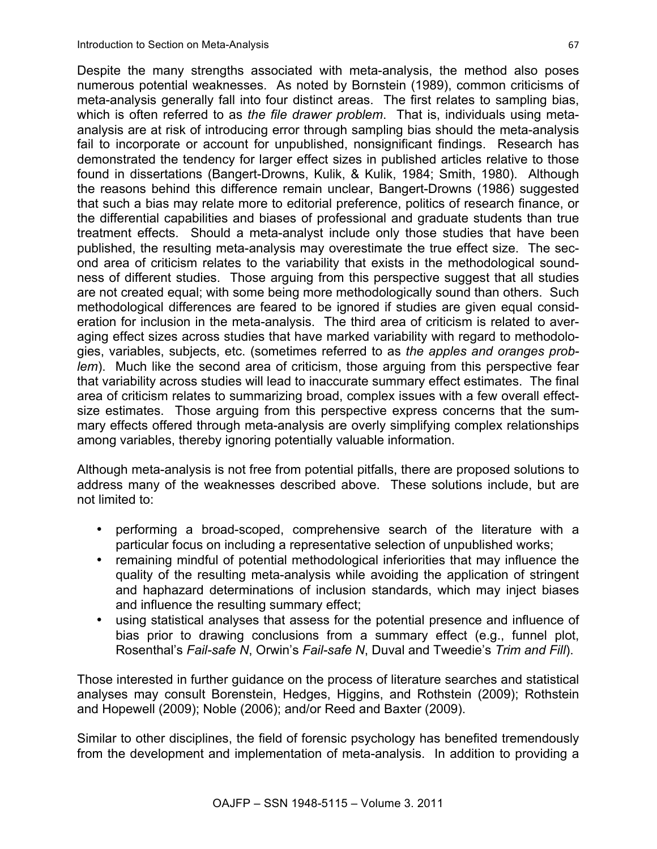Despite the many strengths associated with meta-analysis, the method also poses numerous potential weaknesses. As noted by Bornstein (1989), common criticisms of meta-analysis generally fall into four distinct areas. The first relates to sampling bias, which is often referred to as *the file drawer problem*. That is, individuals using metaanalysis are at risk of introducing error through sampling bias should the meta-analysis fail to incorporate or account for unpublished, nonsignificant findings. Research has demonstrated the tendency for larger effect sizes in published articles relative to those found in dissertations (Bangert-Drowns, Kulik, & Kulik, 1984; Smith, 1980). Although the reasons behind this difference remain unclear, Bangert-Drowns (1986) suggested that such a bias may relate more to editorial preference, politics of research finance, or the differential capabilities and biases of professional and graduate students than true treatment effects. Should a meta-analyst include only those studies that have been published, the resulting meta-analysis may overestimate the true effect size. The second area of criticism relates to the variability that exists in the methodological soundness of different studies. Those arguing from this perspective suggest that all studies are not created equal; with some being more methodologically sound than others. Such methodological differences are feared to be ignored if studies are given equal consideration for inclusion in the meta-analysis. The third area of criticism is related to averaging effect sizes across studies that have marked variability with regard to methodologies, variables, subjects, etc. (sometimes referred to as *the apples and oranges problem*). Much like the second area of criticism, those arguing from this perspective fear that variability across studies will lead to inaccurate summary effect estimates. The final area of criticism relates to summarizing broad, complex issues with a few overall effectsize estimates. Those arguing from this perspective express concerns that the summary effects offered through meta-analysis are overly simplifying complex relationships

Although meta-analysis is not free from potential pitfalls, there are proposed solutions to address many of the weaknesses described above. These solutions include, but are not limited to:

among variables, thereby ignoring potentially valuable information.

- performing a broad-scoped, comprehensive search of the literature with a particular focus on including a representative selection of unpublished works;
- remaining mindful of potential methodological inferiorities that may influence the quality of the resulting meta-analysis while avoiding the application of stringent and haphazard determinations of inclusion standards, which may inject biases and influence the resulting summary effect;
- using statistical analyses that assess for the potential presence and influence of bias prior to drawing conclusions from a summary effect (e.g., funnel plot, Rosenthal's *Fail-safe N*, Orwin's *Fail-safe N*, Duval and Tweedie's *Trim and Fill*).

Those interested in further guidance on the process of literature searches and statistical analyses may consult Borenstein, Hedges, Higgins, and Rothstein (2009); Rothstein and Hopewell (2009); Noble (2006); and/or Reed and Baxter (2009).

Similar to other disciplines, the field of forensic psychology has benefited tremendously from the development and implementation of meta-analysis. In addition to providing a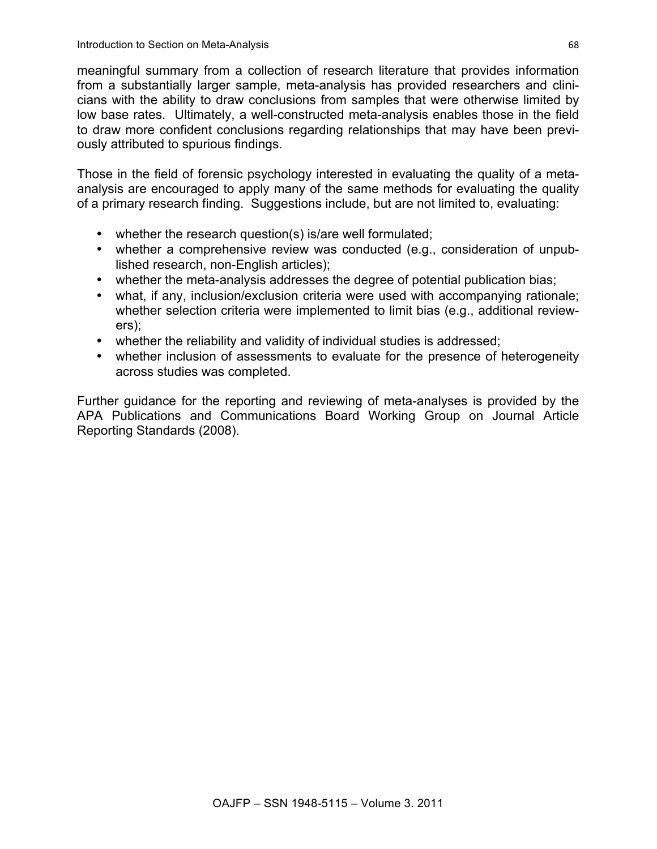meaningful summary from a collection of research literature that provides information from a substantially larger sample, meta-analysis has provided researchers and clinicians with the ability to draw conclusions from samples that were otherwise limited by low base rates. Ultimately, a well-constructed meta-analysis enables those in the field to draw more confident conclusions regarding relationships that may have been previously attributed to spurious findings.

Those in the field of forensic psychology interested in evaluating the quality of a metaanalysis are encouraged to apply many of the same methods for evaluating the quality of a primary research finding. Suggestions include, but are not limited to, evaluating:

- whether the research question(s) is/are well formulated;
- whether a comprehensive review was conducted (e.g., consideration of unpublished research, non-English articles);
- whether the meta-analysis addresses the degree of potential publication bias;
- what, if any, inclusion/exclusion criteria were used with accompanying rationale; whether selection criteria were implemented to limit bias (e.g., additional reviewers);
- whether the reliability and validity of individual studies is addressed;
- whether inclusion of assessments to evaluate for the presence of heterogeneity across studies was completed.

Further guidance for the reporting and reviewing of meta-analyses is provided by the APA Publications and Communications Board Working Group on Journal Article Reporting Standards (2008).